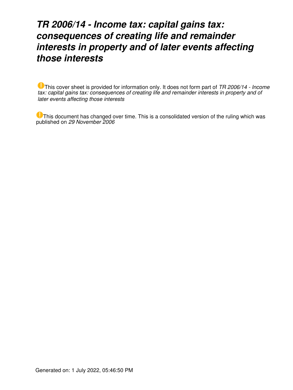# *TR 2006/14 - Income tax: capital gains tax: consequences of creating life and remainder interests in property and of later events affecting those interests*

This cover sheet is provided for information only. It does not form part of *TR 2006/14 - Income tax: capital gains tax: consequences of creating life and remainder interests in property and of later events affecting those interests*

This document has changed over time. This is a consolidated version of the ruling which was published on *29 November 2006*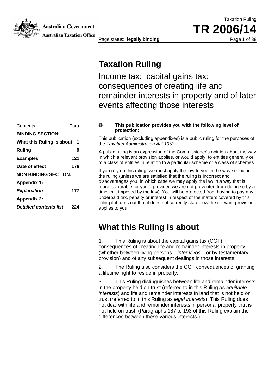**Australian Government** 



**Australian Taxation Office** 

Page status: **legally binding Page 1 of 38** 

Taxation Ruling

TR 2006

### **Taxation Ruling**

Income tax: capital gains tax: consequences of creating life and remainder interests in property and of later events affecting those interests

| Contents                      | Para            | Ō                    |
|-------------------------------|-----------------|----------------------|
| <b>BINDING SECTION:</b>       |                 |                      |
| What this Ruling is about     | 1               | <b>This</b><br>the 7 |
| <b>Ruling</b>                 | 9               | A pul                |
| <b>Examples</b>               | 121             | in wh                |
| Date of effect                | 176             | to a o               |
| <b>NON BINDING SECTION:</b>   | If you<br>the r |                      |
| <b>Appendix 1:</b>            |                 | disad                |
| <b>Explanation</b>            | 177             | more<br>time         |
| <b>Appendix 2:</b>            |                 | unde                 |
| <b>Detailed contents list</b> | 224             | ruling<br>appli      |
|                               |                 |                      |

#### $\mathbf 0$ **This publication provides you with the following level of protection:**

This publication (excluding appendixes) is a public ruling for the purposes of the *Taxation Administration Act 1953*.

A public ruling is an expression of the Commissioner's opinion about the way **Examples 121 in which a relevant provision applies, or would apply, to entities generally or** to a class of entities in relation to a particular scheme or a class of schemes.

> If you rely on this ruling, we must apply the law to you in the way set out in the ruling (unless we are satisfied that the ruling is incorrect and disadvantages you, in which case we may apply the law in a way that is more favourable for you – provided we are not prevented from doing so by a time limit imposed by the law). You will be protected from having to pay any underpaid tax, penalty or interest in respect of the matters covered by this ruling if it turns out that it does not correctly state how the relevant provision applies to you.

## **What this Ruling is about**

1. This Ruling is about the capital gains tax (CGT) consequences of creating life and remainder interests in property (whether between living persons – *inter vivos* – or by testamentary provision) and of any subsequent dealings in those interests.

2. The Ruling also considers the CGT consequences of granting a lifetime right to reside in property.

3. This Ruling distinguishes between life and remainder interests in the property held on trust (referred to in this Ruling as *equitable interests*) and life and remainder interests in land that is not held on trust (referred to in this Ruling as *legal interests*). This Ruling does not deal with life and remainder interests in personal property that is not held on trust. (Paragraphs 187 to 193 of this Ruling explain the differences between these various interests.)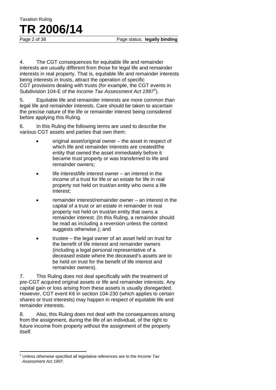Page 2 of 38 Page status: **legally binding** 

4. The CGT consequences for equitable life and remainder interests are usually different from those for legal life and remainder interests in real property. That is, equitable life and remainder interests being interests in trusts, attract the operation of specific CGT provisions dealing with trusts (for example, the CGT events in Subdivision 104-E of the *Income Tax Assessment Act 1997<sup>1</sup>* ).

Taxation Ruling

**TR 2006/14**

5. Equitable life and remainder interests are more common than legal life and remainder interests. Care should be taken to ascertain the precise nature of the life or remainder interest being considered before applying this Ruling.

6. In this Ruling the following terms are used to describe the various CGT assets and parties that own them:

- original asset/original owner the asset in respect of which life and remainder interests are created/the entity that owned the asset immediately before it became trust property or was transferred to life and remainder owners;
- life interest/life interest owner  $-$  an interest in the income of a trust for life or an estate for life in real property not held on trust/an entity who owns a life interest;
- remainder interest/remainder owner an interest in the capital of a trust or an estate in remainder in real property not held on trust/an entity that owns a remainder interest. (In this Ruling, a remainder should be read as including a reversion unless the context suggests otherwise.); and
- trustee the legal owner of an asset held on trust for the benefit of life interest and remainder owners (including a legal personal representative of a deceased estate where the deceased's assets are to be held on trust for the benefit of life interest and remainder owners).

7. This Ruling does not deal specifically with the treatment of pre-CGT acquired original assets or life and remainder interests. Any capital gain or loss arising from these assets is usually disregarded. However, CGT event K6 in section 104-230 (which applies to certain shares or trust interests) may happen in respect of equitable life and remainder interests.

8. Also, this Ruling does not deal with the consequences arising from the assignment, during the life of an individual, of the right to future income from property without the assignment of the property itself.

 $\overline{a}$ 1 Unless otherwise specified all legislative references are to the *Income Tax Assessment Act 1997.*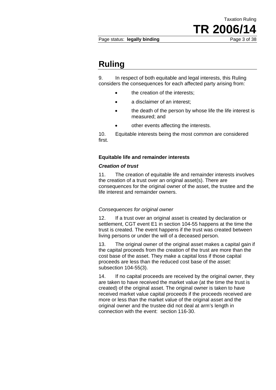Page status: **legally binding** Page 3 of 38

Taxation Ruling

TR 2006/

### **Ruling**

9. In respect of both equitable and legal interests, this Ruling considers the consequences for each affected party arising from:

- the creation of the interests;
- a disclaimer of an interest;
- the death of the person by whose life the life interest is measured; and
- other events affecting the interests.

10. Equitable interests being the most common are considered first.

#### **Equitable life and remainder interests**

#### *Creation of trust*

11. The creation of equitable life and remainder interests involves the creation of a trust over an original asset(s). There are consequences for the original owner of the asset, the trustee and the life interest and remainder owners.

#### *Consequences for original owner*

12. If a trust over an original asset is created by declaration or settlement, CGT event E1 in section 104-55 happens at the time the trust is created. The event happens if the trust was created between living persons or under the will of a deceased person.

13. The original owner of the original asset makes a capital gain if the capital proceeds from the creation of the trust are more than the cost base of the asset. They make a capital loss if those capital proceeds are less than the reduced cost base of the asset: subsection 104-55(3).

14. If no capital proceeds are received by the original owner, they are taken to have received the market value (at the time the trust is created) of the original asset. The original owner is taken to have received market value capital proceeds if the proceeds received are more or less than the market value of the original asset and the original owner and the trustee did not deal at arm's length in connection with the event: section 116-30.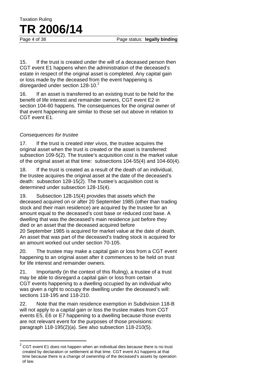Page 4 of 38 Page status: **legally binding** 

15. If the trust is created under the will of a deceased person then CGT event E1 happens when the administration of the deceased's estate in respect of the original asset is completed. Any capital gain or loss made by the deceased from the event happening is disregarded under section  $128-10.<sup>2</sup>$ 

16. If an asset is transferred to an existing trust to be held for the benefit of life interest and remainder owners, CGT event E2 in section 104-60 happens. The consequences for the original owner of that event happening are similar to those set out above in relation to CGT event E1.

#### *Consequences for trustee*

Taxation Ruling

**TR 2006/14**

17. If the trust is created *inter vivos*, the trustee acquires the original asset when the trust is created or the asset is transferred: subsection 109-5(2). The trustee's acquisition cost is the market value of the original asset at that time: subsections 104-55(4) and 104-60(4).

18. If the trust is created as a result of the death of an individual, the trustee acquires the original asset at the date of the deceased's death: subsection 128-15(2). The trustee's acquisition cost is determined under subsection 128-15(4).

19. Subsection 128-15(4) provides that assets which the deceased acquired on or after 20 September 1985 (other than trading stock and their main residence) are acquired by the trustee for an amount equal to the deceased's cost base or reduced cost base. A dwelling that was the deceased's main residence just before they died or an asset that the deceased acquired before 20 September 1985 is acquired for market value at the date of death. An asset that was part of the deceased's trading stock is acquired for an amount worked out under section 70-105.

20. The trustee may make a capital gain or loss from a CGT event happening to an original asset after it commences to be held on trust for life interest and remainder owners.

21. Importantly (in the context of this Ruling), a trustee of a trust may be able to disregard a capital gain or loss from certain CGT events happening to a dwelling occupied by an individual who was given a right to occupy the dwelling under the deceased's will: sections 118-195 and 118-210.

22. Note that the main residence exemption in Subdivision 118-B will not apply to a capital gain or loss the trustee makes from CGT events E5, E6 or E7 happening to a dwelling because those events are not relevant event for the purposes of those provisions: paragraph 118-195(2)(a). See also subsection 118-210(5).

 2 CGT event E1 does not happen when an individual dies because there is no trust created by declaration or settlement at that time. CGT event A1 happens at that time because there is a change of ownership of the deceased's assets by operation of law.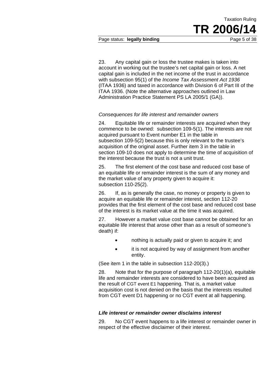#### Page status: **legally binding** Page 5 of 38

23. Any capital gain or loss the trustee makes is taken into account in working out the trustee's net capital gain or loss. A net capital gain is included in the net income of the trust in accordance with subsection 95(1) of the *Income Tax Assessment Act 1936* (ITAA 1936) and taxed in accordance with Division 6 of Part III of the ITAA 1936. (Note the alternative approaches outlined in Law Administration Practice Statement PS LA 2005/1 (GA)).

#### *Consequences for life interest and remainder owners*

24. Equitable life or remainder interests are acquired when they commence to be owned: subsection 109-5(1). The interests are not acquired pursuant to Event number E1 in the table in subsection 109-5(2) because this is only relevant to the trustee's acquisition of the original asset. Further item 3 in the table in section 109-10 does not apply to determine the time of acquisition of the interest because the trust is not a unit trust.

25. The first element of the cost base and reduced cost base of an equitable life or remainder interest is the sum of any money and the market value of any property given to acquire it: subsection 110-25(2).

26. If, as is generally the case, no money or property is given to acquire an equitable life or remainder interest, section 112-20 provides that the first element of the cost base and reduced cost base of the interest is its market value at the time it was acquired.

27. However a market value cost base cannot be obtained for an equitable life interest that arose other than as a result of someone's death) if:

- nothing is actually paid or given to acquire it; and
- it is not acquired by way of assignment from another entity.

(See item 1 in the table in subsection 112-20(3).)

28. Note that for the purpose of paragraph 112-20(1)(a), equitable life and remainder interests are considered to have been acquired as the result of CGT event E1 happening. That is, a market value acquisition cost is not denied on the basis that the interests resulted from CGT event D1 happening or no CGT event at all happening.

#### *Life interest or remainder owner disclaims interest*

29. No CGT event happens to a life interest or remainder owner in respect of the effective disclaimer of their interest.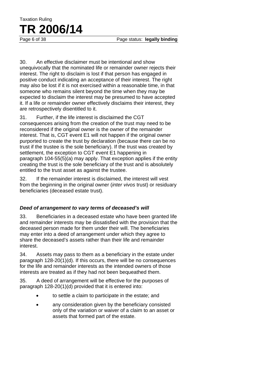Page 6 of 38 Page status: **legally binding** 

30. An effective disclaimer must be intentional and show unequivocally that the nominated life or remainder owner rejects their interest. The right to disclaim is lost if that person has engaged in positive conduct indicating an acceptance of their interest. The right may also be lost if it is not exercised within a reasonable time, in that someone who remains silent beyond the time when they may be expected to disclaim the interest may be presumed to have accepted it. If a life or remainder owner effectively disclaims their interest, they are retrospectively disentitled to it.

31. Further, if the life interest is disclaimed the CGT consequences arising from the creation of the trust may need to be reconsidered if the original owner is the owner of the remainder interest. That is, CGT event E1 will not happen if the original owner purported to create the trust by declaration (because there can be no trust if the trustee is the sole beneficiary). If the trust was created by settlement, the exception to CGT event E1 happening in paragraph 104-55(5)(a) may apply. That exception applies if the entity creating the trust is the sole beneficiary of the trust and is absolutely entitled to the trust asset as against the trustee.

32. If the remainder interest is disclaimed, the interest will vest from the beginning in the original owner (*inter vivos* trust) or residuary beneficiaries (deceased estate trust).

### *Deed of arrangement to vary terms of deceased's will*

33. Beneficiaries in a deceased estate who have been granted life and remainder interests may be dissatisfied with the provision that the deceased person made for them under their will. The beneficiaries may enter into a deed of arrangement under which they agree to share the deceased's assets rather than their life and remainder interest.

34. Assets may pass to them as a beneficiary in the estate under paragraph 128-20(1)(d). If this occurs, there will be no consequences for the life and remainder interests as the intended owners of those interests are treated as if they had not been bequeathed them.

35. A deed of arrangement will be effective for the purposes of paragraph 128-20(1)(d) provided that it is entered into:

- to settle a claim to participate in the estate; and
- any consideration given by the beneficiary consisted only of the variation or waiver of a claim to an asset or assets that formed part of the estate.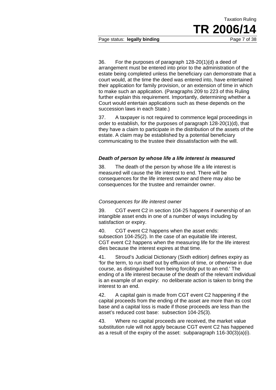Page status: **legally binding** Page 7 of 38

36. For the purposes of paragraph 128-20(1)(d) a deed of arrangement must be entered into prior to the administration of the estate being completed unless the beneficiary can demonstrate that a court would, at the time the deed was entered into, have entertained their application for family provision, or an extension of time in which to make such an application. (Paragraphs 209 to 223 of this Ruling further explain this requirement. Importantly, determining whether a Court would entertain applications such as these depends on the succession laws in each State.)

37. A taxpayer is not required to commence legal proceedings in order to establish, for the purposes of paragraph 128-20(1)(d), that they have a claim to participate in the distribution of the assets of the estate. A claim may be established by a potential beneficiary communicating to the trustee their dissatisfaction with the will.

#### *Death of person by whose life a life interest is measured*

38. The death of the person by whose life a life interest is measured will cause the life interest to end. There will be consequences for the life interest owner and there may also be consequences for the trustee and remainder owner.

#### *Consequences for life interest owner*

39. CGT event C2 in section 104-25 happens if ownership of an intangible asset ends in one of a number of ways including by satisfaction or expiry.

40. CGT event C2 happens when the asset ends: subsection 104-25(2). In the case of an equitable life interest, CGT event C2 happens when the measuring life for the life interest dies because the interest expires at that time.

41. Stroud's Judicial Dictionary (Sixth edition) defines expiry as 'for the term, to run itself out by effluxion of time, or otherwise in due course, as distinguished from being forcibly put to an end.' The ending of a life interest because of the death of the relevant individual is an example of an expiry: no deliberate action is taken to bring the interest to an end.

42. A capital gain is made from CGT event C2 happening if the capital proceeds from the ending of the asset are more than its cost base and a capital loss is made if those proceeds are less than the asset's reduced cost base: subsection 104-25(3).

43. Where no capital proceeds are received, the market value substitution rule will not apply because CGT event C2 has happened as a result of the expiry of the asset: subparagraph 116-30(3)(a)(i).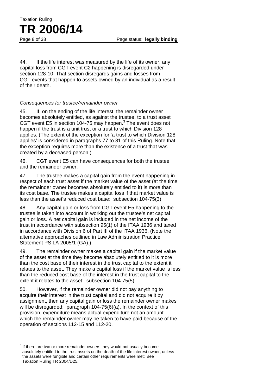44. If the life interest was measured by the life of its owner, any capital loss from CGT event C2 happening is disregarded under section 128-10. That section disregards gains and losses from CGT events that happen to assets owned by an individual as a result of their death.

#### *Consequences for trustee/remainder owner*

Taxation Ruling

**TR 2006/14**

45. If, on the ending of the life interest, the remainder owner becomes absolutely entitled, as against the trustee, to a trust asset CGT event E5 in section 104-75 may happen. $3$  The event does not happen if the trust is a unit trust or a trust to which Division 128 applies. (The extent of the exception for 'a trust to which Division 128 applies' is considered in paragraphs 77 to 81 of this Ruling. Note that the exception requires more than the existence of a trust that was created by a deceased person.)

46. CGT event E5 can have consequences for both the trustee and the remainder owner.

47. The trustee makes a capital gain from the event happening in respect of each trust asset if the market value of the asset (at the time the remainder owner becomes absolutely entitled to it) is more than its cost base. The trustee makes a capital loss if that market value is less than the asset's reduced cost base: subsection 104-75(3).

48. Any capital gain or loss from CGT event E5 happening to the trustee is taken into account in working out the trustee's net capital gain or loss. A net capital gain is included in the net income of the trust in accordance with subsection 95(1) of the ITAA 1936 and taxed in accordance with Division 6 of Part III of the ITAA 1936. (Note the alternative approaches outlined in Law Administration Practice Statement PS LA 2005/1 (GA).)

49. The remainder owner makes a capital gain if the market value of the asset at the time they become absolutely entitled to it is more than the cost base of their interest in the trust capital to the extent it relates to the asset. They make a capital loss if the market value is less than the reduced cost base of the interest in the trust capital to the extent it relates to the asset: subsection 104-75(5).

50. However, if the remainder owner did not pay anything to acquire their interest in the trust capital and did not acquire it by assignment, then any capital gain or loss the remainder owner makes will be disregarded: paragraph 104-75(6)(a). In the context of this provision, expenditure means actual expenditure not an amount which the remainder owner may be taken to have paid because of the operation of sections 112-15 and 112-20.

 $\overline{a}$  $3$  If there are two or more remainder owners they would not usually become absolutely entitled to the trust assets on the death of the life interest owner, unless the assets were fungible and certain other requirements were met: see Taxation Ruling TR 2004/D25.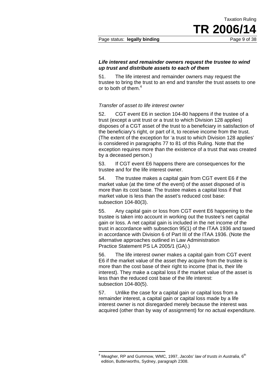Page status: **legally binding** Page 9 of 38

51. The life interest and remainder owners may request the trustee to bring the trust to an end and transfer the trust assets to one or to both of them.4

#### *Transfer of asset to life interest owner*

52. CGT event E6 in section 104-80 happens if the trustee of a trust (except a unit trust or a trust to which Division 128 applies) disposes of a CGT asset of the trust to a beneficiary in satisfaction of the beneficiary's right, or part of it, to receive income from the trust. (The extent of the exception for 'a trust to which Division 128 applies' is considered in paragraphs 77 to 81 of this Ruling. Note that the exception requires more than the existence of a trust that was created by a deceased person.)

53. If CGT event E6 happens there are consequences for the trustee and for the life interest owner.

54. The trustee makes a capital gain from CGT event E6 if the market value (at the time of the event) of the asset disposed of is more than its cost base. The trustee makes a capital loss if that market value is less than the asset's reduced cost base: subsection 104-80(3).

55. Any capital gain or loss from CGT event E6 happening to the trustee is taken into account in working out the trustee's net capital gain or loss. A net capital gain is included in the net income of the trust in accordance with subsection 95(1) of the ITAA 1936 and taxed in accordance with Division 6 of Part III of the ITAA 1936. (Note the alternative approaches outlined in Law Administration Practice Statement PS LA 2005/1 (GA).)

56. The life interest owner makes a capital gain from CGT event E6 if the market value of the asset they acquire from the trustee is more than the cost base of their right to income (that is, their life interest). They make a capital loss if the market value of the asset is less than the reduced cost base of the life interest: subsection 104-80(5).

57. Unlike the case for a capital gain or capital loss from a remainder interest, a capital gain or capital loss made by a life interest owner is not disregarded merely because the interest was acquired (other than by way of assignment) for no actual expenditure.

 $\overline{a}$ 4 Meagher, RP and Gummow, WMC, 1997, *Jacobs' law of trusts in Australia*, 6<sup>th</sup> edition, Butterworths, Sydney, paragraph 2308.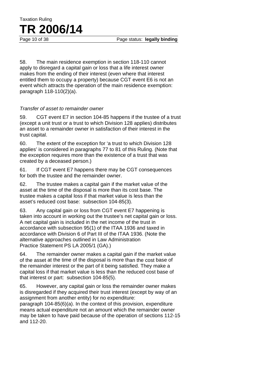Page 10 of 38 Page status: **legally binding** 

58. The main residence exemption in section 118-110 cannot apply to disregard a capital gain or loss that a life interest owner makes from the ending of their interest (even where that interest entitled them to occupy a property) because CGT event E6 is not an event which attracts the operation of the main residence exemption: paragraph 118-110(2)(a).

#### *Transfer of asset to remainder owner*

59. CGT event E7 in section 104-85 happens if the trustee of a trust (except a unit trust or a trust to which Division 128 applies) distributes an asset to a remainder owner in satisfaction of their interest in the trust capital.

60. The extent of the exception for 'a trust to which Division 128 applies' is considered in paragraphs 77 to 81 of this Ruling. (Note that the exception requires more than the existence of a trust that was created by a deceased person.)

61. If CGT event E7 happens there may be CGT consequences for both the trustee and the remainder owner.

62. The trustee makes a capital gain if the market value of the asset at the time of the disposal is more than its cost base. The trustee makes a capital loss if that market value is less than the asset's reduced cost base: subsection 104-85(3).

63. Any capital gain or loss from CGT event E7 happening is taken into account in working out the trustee's net capital gain or loss. A net capital gain is included in the net income of the trust in accordance with subsection 95(1) of the ITAA 1936 and taxed in accordance with Division 6 of Part III of the ITAA 1936. (Note the alternative approaches outlined in Law Administration Practice Statement PS LA 2005/1 (GA).)

64. The remainder owner makes a capital gain if the market value of the asset at the time of the disposal is more than the cost base of the remainder interest or the part of it being satisfied. They make a capital loss if that market value is less than the reduced cost base of that interest or part: subsection 104-85(5).

65. However, any capital gain or loss the remainder owner makes is disregarded if they acquired their trust interest (except by way of an assignment from another entity) for no expenditure: paragraph 104-85(6)(a). In the context of this provision, expenditure means actual expenditure not an amount which the remainder owner

may be taken to have paid because of the operation of sections 112-15 and 112-20.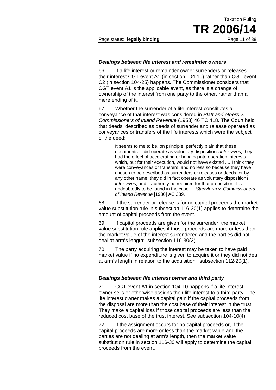#### Page status: **legally binding** Page 11 of 38

#### *Dealings between life interest and remainder owners*

66. If a life interest or remainder owner surrenders or releases their interest CGT event A1 (in section 104-10) rather than CGT event C2 (in section 104-25) happens. The Commissioner considers that CGT event A1 is the applicable event, as there is a change of ownership of the interest from one party to the other, rather than a mere ending of it.

67. Whether the surrender of a life interest constitutes a conveyance of that interest was considered in *Platt and others v. Commissioners of Inland Revenue* (1953) 46 TC 418*.* The Court held that deeds, described as deeds of surrender and release operated as conveyances or transfers of the life interests which were the subject of the deed:

> It seems to me to be, on principle, perfectly plain that these documents… did operate as voluntary dispositions *inter vivos*; they had the effect of accelerating or bringing into operation interests which, but for their execution, would not have existed .... I think they were conveyances or transfers, and no less so because they have chosen to be described as surrenders or releases or deeds, or by any other name; they did in fact operate as voluntary dispositions *inter vivos*, and if authority be required for that proposition it is undoubtedly to be found in the case … *Stanyforth v. Commissioners of Inland Revenue* [1930] AC 339.

68. If the surrender or release is for no capital proceeds the market value substitution rule in subsection 116-30(1) applies to determine the amount of capital proceeds from the event.

69. If capital proceeds are given for the surrender, the market value substitution rule applies if those proceeds are more or less than the market value of the interest surrendered and the parties did not deal at arm's length: subsection 116-30(2).

70. The party acquiring the interest may be taken to have paid market value if no expenditure is given to acquire it or they did not deal at arm's length in relation to the acquisition: subsection 112-20(1).

#### *Dealings between life interest owner and third party*

71. CGT event A1 in section 104-10 happens if a life interest owner sells or otherwise assigns their life interest to a third party. The life interest owner makes a capital gain if the capital proceeds from the disposal are more than the cost base of their interest in the trust. They make a capital loss if those capital proceeds are less than the reduced cost base of the trust interest. See subsection 104-10(4).

72. If the assignment occurs for no capital proceeds or, if the capital proceeds are more or less than the market value and the parties are not dealing at arm's length, then the market value substitution rule in section 116-30 will apply to determine the capital proceeds from the event.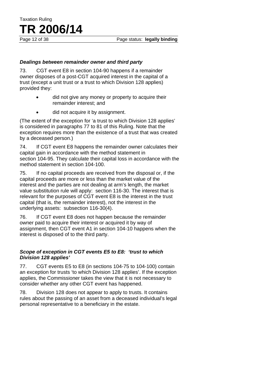Page 12 of 38 Page status: **legally binding** 

#### *Dealings between remainder owner and third party*

Taxation Ruling

**TR 2006/14**

73. CGT event E8 in section 104-90 happens if a remainder owner disposes of a post-CGT acquired interest in the capital of a trust (except a unit trust or a trust to which Division 128 applies) provided they:

- did not give any money or property to acquire their remainder interest; and
- did not acquire it by assignment.

(The extent of the exception for 'a trust to which Division 128 applies' is considered in paragraphs 77 to 81 of this Ruling. Note that the exception requires more than the existence of a trust that was created by a deceased person.)

74. If CGT event E8 happens the remainder owner calculates their capital gain in accordance with the method statement in section 104-95. They calculate their capital loss in accordance with the method statement in section 104-100.

75. If no capital proceeds are received from the disposal or, if the capital proceeds are more or less than the market value of the interest and the parties are not dealing at arm's length, the market value substitution rule will apply: section 116-30. The interest that is relevant for the purposes of CGT event E8 is the interest in the trust capital (that is, the remainder interest), not the interest in the underlying assets: subsection 116-30(4).

76. If CGT event E8 does not happen because the remainder owner paid to acquire their interest or acquired it by way of assignment, then CGT event A1 in section 104-10 happens when the interest is disposed of to the third party.

#### *Scope of exception in CGT events E5 to E8: 'trust to which Division 128 applies'*

77. CGT events E5 to E8 (in sections 104-75 to 104-100) contain an exception for trusts 'to which Division 128 applies'. If the exception applies, the Commissioner takes the view that it is not necessary to consider whether any other CGT event has happened.

78. Division 128 does not appear to apply to trusts. It contains rules about the passing of an asset from a deceased individual's legal personal representative to a beneficiary in the estate.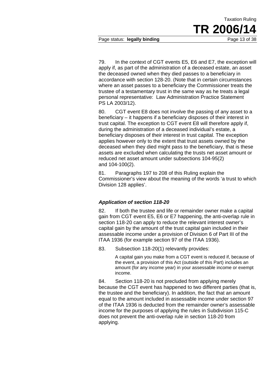#### Page status: **legally binding** Page 13 of 38

79. In the context of CGT events E5, E6 and E7, the exception will apply if, as part of the administration of a deceased estate, an asset the deceased owned when they died passes to a beneficiary in accordance with section 128-20. (Note that in certain circumstances where an asset passes to a beneficiary the Commissioner treats the trustee of a testamentary trust in the same way as he treats a legal personal representative: Law Administration Practice Statement PS LA 2003/12).

80. CGT event E8 does not involve the passing of any asset to a beneficiary – it happens if a beneficiary disposes of their interest in trust capital. The exception to CGT event E8 will therefore apply if, during the administration of a deceased individual's estate, a beneficiary disposes of their interest in trust capital. The exception applies however only to the extent that trust assets owned by the deceased when they died might pass to the beneficiary, that is these assets are excluded when calculating the trusts net asset amount or reduced net asset amount under subsections 104-95(2) and 104-100(2).

81. Paragraphs 197 to 208 of this Ruling explain the Commissioner's view about the meaning of the words 'a trust to which Division 128 applies'.

### *Application of section 118-20*

82. If both the trustee and life or remainder owner make a capital gain from CGT event E5, E6 or E7 happening, the anti-overlap rule in section 118-20 can apply to reduce the relevant interest owner's capital gain by the amount of the trust capital gain included in their assessable income under a provision of Division 6 of Part III of the ITAA 1936 (for example section 97 of the ITAA 1936).

83. Subsection 118-20(1) relevantly provides:

A capital gain you make from a CGT event is reduced if, because of the event, a provision of this Act (outside of this Part) includes an amount (for any income year) in your assessable income or exempt income.

84. Section 118-20 is not precluded from applying merely because the CGT event has happened to two different parties (that is, the trustee and the beneficiary). In addition, the fact that an amount equal to the amount included in assessable income under section 97 of the ITAA 1936 is deducted from the remainder owner's assessable income for the purposes of applying the rules in Subdivision 115-C does not prevent the anti-overlap rule in section 118-20 from applying.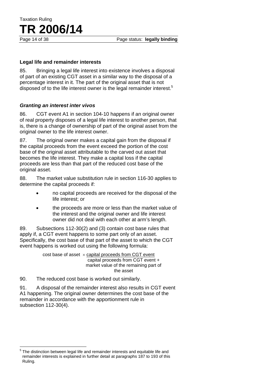#### Page 14 of 38 Page status: **legally binding**

#### **Legal life and remainder interests**

**TR 2006/14**

Taxation Ruling

85. Bringing a legal life interest into existence involves a disposal of part of an existing CGT asset in a similar way to the disposal of a percentage interest in it. The part of the original asset that is not disposed of to the life interest owner is the legal remainder interest.<sup>5</sup>

#### *Granting an interest inter vivos*

86. CGT event A1 in section 104-10 happens if an original owner of real property disposes of a legal life interest to another person, that is, there is a change of ownership of part of the original asset from the original owner to the life interest owner.

87. The original owner makes a capital gain from the disposal if the capital proceeds from the event exceed the portion of the cost base of the original asset attributable to the carved out asset that becomes the life interest. They make a capital loss if the capital proceeds are less than that part of the reduced cost base of the original asset.

88. The market value substitution rule in section 116-30 applies to determine the capital proceeds if:

- no capital proceeds are received for the disposal of the life interest; or
- the proceeds are more or less than the market value of the interest and the original owner and life interest owner did not deal with each other at arm's length.

89. Subsections 112-30(2) and (3) contain cost base rules that apply if, a CGT event happens to some part only of an asset. Specifically, the cost base of that part of the asset to which the CGT event happens is worked out using the following formula:

> cost base of asset  $\times$  capital proceeds from CGT event capital proceeds from CGT event + market value of the remaining part of the asset

90. The reduced cost base is worked out similarly.

91. A disposal of the remainder interest also results in CGT event A1 happening. The original owner determines the cost base of the remainder in accordance with the apportionment rule in subsection 112-30(4).

 $\overline{a}$  $5$  The distinction between legal life and remainder interests and equitable life and remainder interests is explained in further detail at paragraphs 187 to 193 of this Ruling.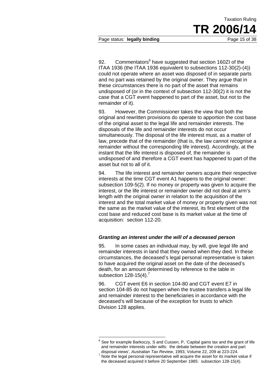#### Page status: **legally binding** Page 15 of 38

92. Commentators<sup>6</sup> have suggested that section 160ZI of the ITAA 1936 (the ITAA 1936 equivalent to subsections 112-30(2)-(4)) could not operate where an asset was disposed of in separate parts and no part was retained by the original owner. They argue that in these circumstances there is no part of the asset that remains undisposed of (or in the context of subsection 112-30(2) it is not the case that a CGT event happened to part of the asset, but not to the remainder of it).

93. However, the Commissioner takes the view that both the original and rewritten provisions do operate to apportion the cost base of the original asset to the legal life and remainder interests. The disposals of the life and remainder interests do not occur simultaneously. The disposal of the life interest must, as a matter of law, precede that of the remainder (that is, the law cannot recognise a remainder without the corresponding life interest). Accordingly, at the instant that the life interest is disposed of, the remainder is undisposed of and therefore a CGT event has happened to part of the asset but not to all of it.

94. The life interest and remainder owners acquire their respective interests at the time CGT event A1 happens to the original owner: subsection 109-5(2). If no money or property was given to acquire the interest, or the life interest or remainder owner did not deal at arm's length with the original owner in relation to the acquisition of the interest and the total market value of money or property given was not the same as the market value of the interest, its first element of the cost base and reduced cost base is its market value at the time of acquisition: section 112-20.

#### *Granting an interest under the will of a deceased person*

95. In some cases an individual may, by will, give legal life and remainder interests in land that they owned when they died. In these circumstances, the deceased's legal personal representative is taken to have acquired the original asset on the date of the deceased's death, for an amount determined by reference to the table in subsection  $128-15(4)$ .

96. CGT event E6 in section 104-80 and CGT event E7 in section 104-85 do not happen when the trustee transfers a legal life and remainder interest to the beneficiaries in accordance with the deceased's will because of the exception for trusts to which Division 128 applies.

 6 See for example Barkoczy, S and Cussen, P, 'Capital gains tax and the grant of life and remainder interests under wills: the debate between the creation and part disposal views', *Australian Tax Review*, 1993, Volume 22, 209 at 223-224. 7

Note the legal personal representative will acquire the asset for its market value if the deceased acquired it before 20 September 1985: subsection 128-15(4).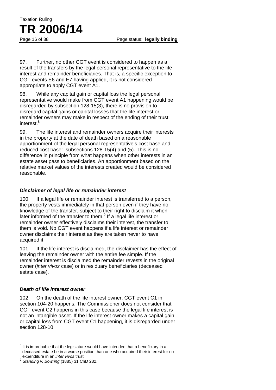Page 16 of 38 Page status: **legally binding** 

97. Further, no other CGT event is considered to happen as a result of the transfers by the legal personal representative to the life interest and remainder beneficiaries. That is, a specific exception to CGT events E6 and E7 having applied, it is not considered appropriate to apply CGT event A1.

98. While any capital gain or capital loss the legal personal representative would make from CGT event A1 happening would be disregarded by subsection 128-15(3), there is no provision to disregard capital gains or capital losses that the life interest or remainder owners may make in respect of the ending of their trust interest.<sup>8</sup>

99. The life interest and remainder owners acquire their interests in the property at the date of death based on a reasonable apportionment of the legal personal representative's cost base and reduced cost base: subsections 128-15(4) and (5). This is no difference in principle from what happens when other interests in an estate asset pass to beneficiaries. An apportionment based on the relative market values of the interests created would be considered reasonable.

#### *Disclaimer of legal life or remainder interest*

100. If a legal life or remainder interest is transferred to a person, the property vests immediately in that person even if they have no knowledge of the transfer, subject to their right to disclaim it when later informed of the transfer to them.<sup>9</sup> If a legal life interest or remainder owner effectively disclaims their interest, the transfer to them is void. No CGT event happens if a life interest or remainder owner disclaims their interest as they are taken never to have acquired it.

101. If the life interest is disclaimed, the disclaimer has the effect of leaving the remainder owner with the entire fee simple. If the remainder interest is disclaimed the remainder revests in the original owner (*inter vivos* case) or in residuary beneficiaries (deceased estate case).

#### *Death of life interest owner*

102. On the death of the life interest owner, CGT event C1 in section 104-20 happens. The Commissioner does not consider that CGT event C2 happens in this case because the legal life interest is not an intangible asset. If the life interest owner makes a capital gain or capital loss from CGT event C1 happening, it is disregarded under section 128-10.

 $\overline{a}$  $^8$  It is improbable that the legislature would have intended that a beneficiary in a deceased estate be in a worse position than one who acquired their interest for no expenditure in an *inter vivos* trust.

<sup>&</sup>lt;sup>9</sup> Standing v. Bowring (1885) 31 ChD 282.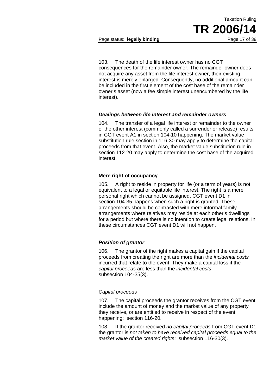

Page status: **legally binding** Page 17 of 38

103. The death of the life interest owner has no CGT consequences for the remainder owner. The remainder owner does not acquire any asset from the life interest owner, their existing interest is merely enlarged. Consequently, no additional amount can be included in the first element of the cost base of the remainder owner's asset (now a fee simple interest unencumbered by the life interest).

#### *Dealings between life interest and remainder owners*

104. The transfer of a legal life interest or remainder to the owner of the other interest (commonly called a surrender or release) results in CGT event A1 in section 104-10 happening. The market value substitution rule section in 116-30 may apply to determine the capital proceeds from that event. Also, the market value substitution rule in section 112-20 may apply to determine the cost base of the acquired interest.

#### **Mere right of occupancy**

105. A right to reside in property for life (or a term of years) is not equivalent to a legal or equitable life interest. The right is a mere personal right which cannot be assigned. CGT event D1 in section 104-35 happens when such a right is granted. These arrangements should be contrasted with mere informal family arrangements where relatives may reside at each other's dwellings for a period but where there is no intention to create legal relations. In these circumstances CGT event D1 will not happen.

### *Position of grantor*

106. The grantor of the right makes a capital gain if the capital proceeds from creating the right are more than the *incidental costs* incurred that relate to the event. They make a capital loss if the *capital proceeds* are less than the *incidental costs*: subsection 104-35(3).

#### *Capital proceeds*

107. The capital proceeds the grantor receives from the CGT event include the amount of money and the market value of any property they receive, or are entitled to receive in respect of the event happening: section 116-20.

108. If the grantor received *no capital proceeds* from CGT event D1 the grantor is *not taken to have received capital proceeds equal to the market value of the created rights*: subsection 116-30(3).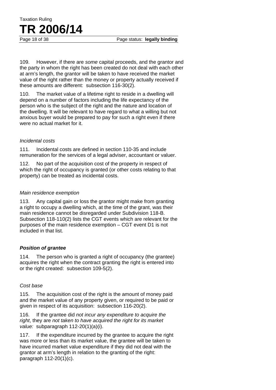109. However, if there are *some* capital proceeds, and the grantor and the party in whom the right has been created do not deal with each other at arm's length, the grantor will be taken to have received the market value of the right rather than the money or property actually received if these amounts are different: subsection 116-30(2).

110. The market value of a lifetime right to reside in a dwelling will depend on a number of factors including the life expectancy of the person who is the subject of the right and the nature and location of the dwelling. It will be relevant to have regard to what a willing but not anxious buyer would be prepared to pay for such a right even if there were no actual market for it.

#### *Incidental costs*

111. Incidental costs are defined in section 110-35 and include remuneration for the services of a legal adviser, accountant or valuer.

112. No part of the acquisition cost of the property in respect of which the right of occupancy is granted (or other costs relating to that property) can be treated as incidental costs.

#### *Main residence exemption*

113. Any capital gain or loss the grantor might make from granting a right to occupy a dwelling which, at the time of the grant, was their main residence cannot be disregarded under Subdivision 118-B. Subsection 118-110(2) lists the CGT events which are relevant for the purposes of the main residence exemption – CGT event D1 is not included in that list.

#### *Position of grantee*

114. The person who is granted a right of occupancy (the grantee) acquires the right when the contract granting the right is entered into or the right created: subsection 109-5(2).

#### *Cost base*

115. The acquisition cost of the right is the amount of money paid and the market value of any property given, or required to be paid or given in respect of its acquisition: subsection 116-20(2).

116. If the grantee did *not incur any expenditure to acquire the right*, they are *not taken to have acquired the right for its market value:* subparagraph 112-20(1)(a)(i).

117. If the expenditure incurred by the grantee to acquire the right was more or less than its market value, the grantee will be taken to have incurred market value expenditure if they did not deal with the grantor at arm's length in relation to the granting of the right: paragraph 112-20(1)(c).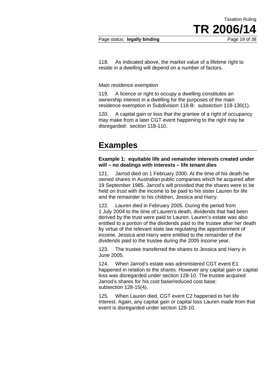118. As indicated above, the market value of a lifetime right to reside in a dwelling will depend on a number of factors.

#### *Main residence exemption*

119. A licence or right to occupy a dwelling constitutes an ownership interest in a dwelling for the purposes of the main residence exemption in Subdivision 118-B: subsection 118-130(1).

120. A capital gain or loss that the grantee of a right of occupancy may make from a later CGT event happening to the right may be disregarded: section 118-110.

## **Examples**

**Example 1: equitable life and remainder interests created under will – no dealings with interests – life tenant dies** 

121. Jarrod died on 1 February 2000. At the time of his death he owned shares in Australian public companies which he acquired after 19 September 1985. Jarrod's will provided that the shares were to be held on trust with the income to be paid to his sister Lauren for life and the remainder to his children, Jessica and Harry.

122. Lauren died in February 2005. During the period from 1 July 2004 to the time of Lauren's death, dividends that had been derived by the trust were paid to Lauren. Lauren's estate was also entitled to a portion of the dividends paid to the trustee after her death by virtue of the relevant state law regulating the apportionment of income. Jessica and Harry were entitled to the remainder of the dividends paid to the trustee during the 2005 income year.

123. The trustee transferred the shares to Jessica and Harry in June 2005.

124. When Jarrod's estate was administered CGT event E1 happened in relation to the shares. However any capital gain or capital loss was disregarded under section 128-10. The trustee acquired Jarrod's shares for his cost base/reduced cost base: subsection 128-15(4).

125. When Lauren died, CGT event C2 happened to her life interest. Again, any capital gain or capital loss Lauren made from that event is disregarded under section 128-10.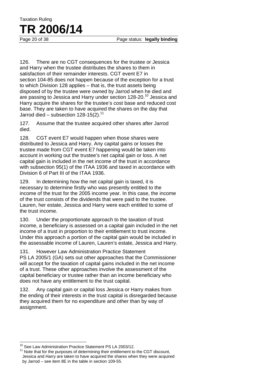126. There are no CGT consequences for the trustee or Jessica and Harry when the trustee distributes the shares to them in satisfaction of their remainder interests. CGT event E7 in section 104-85 does not happen because of the exception for a trust to which Division 128 applies – that is, the trust assets being disposed of by the trustee were owned by Jarrod when he died and are passing to Jessica and Harry under section 128-20.<sup>10</sup> Jessica and Harry acquire the shares for the trustee's cost base and reduced cost base. They are taken to have acquired the shares on the day that Jarrod died – subsection  $128-15(2).$ <sup>11</sup>

127. Assume that the trustee acquired other shares after Jarrod died.

128. CGT event E7 would happen when those shares were distributed to Jessica and Harry. Any capital gains or losses the trustee made from CGT event E7 happening would be taken into account in working out the trustee's net capital gain or loss. A net capital gain is included in the net income of the trust in accordance with subsection 95(1) of the ITAA 1936 and taxed in accordance with Division 6 of Part III of the ITAA 1936.

129. In determining how the net capital gain is taxed, it is necessary to determine firstly who was presently entitled to the income of the trust for the 2005 income year. In this case, the income of the trust consists of the dividends that were paid to the trustee. Lauren, her estate, Jessica and Harry were each entitled to some of the trust income.

130. Under the proportionate approach to the taxation of trust income, a beneficiary is assessed on a capital gain included in the net income of a trust in proportion to their entitlement to trust income. Under this approach a portion of the capital gain would be included in the assessable income of Lauren, Lauren's estate, Jessica and Harry.

131. However Law Administration Practice Statement PS LA 2005/1 (GA) sets out other approaches that the Commissioner will accept for the taxation of capital gains included in the net income of a trust. These other approaches involve the assessment of the capital beneficiary or trustee rather than an income beneficiary who does not have any entitlement to the trust capital.

132. Any capital gain or capital loss Jessica or Harry makes from the ending of their interests in the trust capital is disregarded because they acquired them for no expenditure and other than by way of assignment.

<sup>&</sup>lt;sup>10</sup> See Law Administration Practice Statement PS LA 2003/12.

 $11$  Note that for the purposes of determining their entitlement to the CGT discount, Jessica and Harry are taken to have acquired the shares when they were acquired by Jarrod – see item 8E in the table in section 109-55.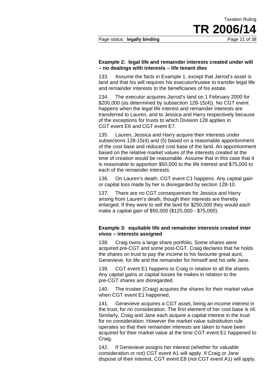Page status: **legally binding** Page 21 of 38

#### **Example 2: legal life and remainder interests created under will – no dealings with interests – life tenant dies**

133. Assume the facts in Example 1, except that Jarrod's asset is land and that his will requires his executor/trustee to transfer legal life and remainder interests to the beneficiaries of his estate.

134. The executor acquires Jarrod's land on 1 February 2000 for \$200,000 (as determined by subsection 128-15(4)). No CGT event happens when the legal life interest and remainder interests are transferred to Lauren, and to Jessica and Harry respectively because of the exceptions for trusts to which Division 128 applies in CGT event E6 and CGT event E7.

135. Lauren, Jessica and Harry acquire their interests under subsections 128-15(4) and (5) based on a reasonable apportionment of the cost base and reduced cost base of the land. An apportionment based on the relative market values of the interests created at the time of creation would be reasonable. Assume that in this case that it is reasonable to apportion \$50,000 to the life interest and \$75,000 to each of the remainder interests.

136. On Lauren's death, CGT event C1 happens. Any capital gain or capital loss made by her is disregarded by section 128-10.

137. There are no CGT consequences for Jessica and Harry arising from Lauren's death, though their interests are thereby enlarged. If they were to sell the land for \$250,000 they would each make a capital gain of \$50,000 (\$125,000 - \$75,000).

#### **Example 3: equitable life and remainder interests created** *inter vivos* **– interests assigned**

138. Craig owns a large share portfolio. Some shares were acquired pre-CGT and some post-CGT. Craig declares that he holds the shares on trust to pay the income to his favourite great aunt, Genevieve, for life and the remainder for himself and his wife Jane.

139. CGT event E1 happens to Craig in relation to all the shares. Any capital gains or capital losses he makes in relation to the pre-CGT shares are disregarded.

140. The trustee (Craig) acquires the shares for their market value when CGT event E1 happened.

141. Genevieve acquires a CGT asset, being an income interest in the trust, for no consideration. The first element of her cost base is nil. Similarly, Craig and Jane each acquire a capital interest in the trust for no consideration. However the market value substitution rule operates so that their remainder interests are taken to have been acquired for their market value at the time CGT event E1 happened to Craig.

142. If Genevieve assigns her interest (whether for valuable consideration or not) CGT event A1 will apply. If Craig or Jane dispose of their interest, CGT event E8 (not CGT event A1) will apply.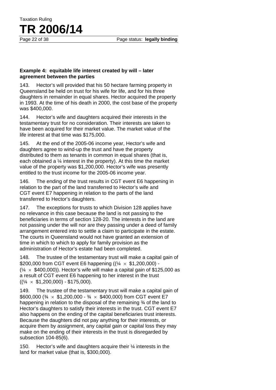Page 22 of 38 Page status: **legally binding** 

### **Example 4: equitable life interest created by will – later agreement between the parties**

Taxation Ruling

**TR 2006/14**

143. Hector's will provided that his 50 hectare farming property in Queensland be held on trust for his wife for life, and for his three daughters in remainder in equal shares. Hector acquired the property in 1993. At the time of his death in 2000, the cost base of the property was \$400,000.

144. Hector's wife and daughters acquired their interests in the testamentary trust for no consideration. Their interests are taken to have been acquired for their market value. The market value of the life interest at that time was \$175,000.

145. At the end of the 2005-06 income year, Hector's wife and daughters agree to wind-up the trust and have the property distributed to them as tenants in common in equal shares (that is, each obtained a ¼ interest in the property). At this time the market value of the property was \$1,200,000. Hector's wife was presently entitled to the trust income for the 2005-06 income year.

146. The ending of the trust results in CGT event E6 happening in relation to the part of the land transferred to Hector's wife and CGT event E7 happening in relation to the parts of the land transferred to Hector's daughters.

147. The exceptions for trusts to which Division 128 applies have no relevance in this case because the land is not passing to the beneficiaries in terms of section 128-20. The interests in the land are not passing under the will nor are they passing under a deed of family arrangement entered into to settle a claim to participate in the estate. The courts in Queensland would not have granted an extension of time in which to which to apply for family provision as the administration of Hector's estate had been completed.

148. The trustee of the testamentary trust will make a capital gain of \$200,000 from CGT event E6 happening  $(1/4 \times $1,200,000)$  - $(4 \times $400,000)$ . Hector's wife will make a capital gain of \$125,000 as a result of CGT event E6 happening to her interest in the trust  $((\frac{1}{4} \times \$1,200,000) - \$175,000)$ .

149. The trustee of the testamentary trust will make a capital gain of \$600,000 ( $\frac{3}{4} \times$  \$1,200,000 -  $\frac{3}{4} \times$  \$400,000) from CGT event E7 happening in relation to the disposal of the remaining % of the land to Hector's daughters to satisfy their interests in the trust. CGT event E7 also happens on the ending of the capital beneficiaries trust interests. Because the daughters did not pay anything for their interests, or acquire them by assignment, any capital gain or capital loss they may make on the ending of their interests in the trust is disregarded by subsection 104-85(6).

150. Hector's wife and daughters acquire their ¼ interests in the land for market value (that is, \$300,000).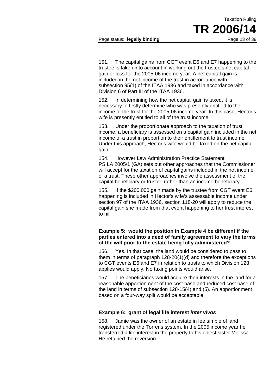Page status: **legally binding** Page 23 of 38

151. The capital gains from CGT event E6 and E7 happening to the trustee is taken into account in working out the trustee's net capital gain or loss for the 2005-06 income year. A net capital gain is included in the net income of the trust in accordance with subsection 95(1) of the ITAA 1936 and taxed in accordance with Division 6 of Part III of the ITAA 1936.

152. In determining how the net capital gain is taxed, it is necessary to firstly determine who was presently entitled to the income of the trust for the 2005-06 income year. In this case, Hector's wife is presently entitled to all of the trust income.

153. Under the proportionate approach to the taxation of trust income, a beneficiary is assessed on a capital gain included in the net income of a trust in proportion to their entitlement to trust income. Under this approach, Hector's wife would be taxed on the net capital gain.

154. However Law Administration Practice Statement PS LA 2005/1 (GA) sets out other approaches that the Commissioner will accept for the taxation of capital gains included in the net income of a trust. These other approaches involve the assessment of the capital beneficiary or trustee rather than an income beneficiary.

155. If the \$200,000 gain made by the trustee from CGT event E6 happening is included in Hector's wife's assessable income under section 97 of the ITAA 1936, section 118-20 will apply to reduce the capital gain she made from that event happening to her trust interest to nil.

#### **Example 5: would the position in Example 4 be different if the parties entered into a deed of family agreement to vary the terms of the will prior to the estate being fully administered?**

156. Yes. In that case, the land would be considered to pass to them in terms of paragraph 128-20(1)(d) and therefore the exceptions to CGT events E6 and E7 in relation to trusts to which Division 128 applies would apply. No taxing points would arise.

157. The beneficiaries would acquire their interests in the land for a reasonable apportionment of the cost base and reduced cost base of the land in terms of subsection 128-15(4) and (5). An apportionment based on a four-way split would be acceptable.

#### **Example 6: grant of legal life interest** *inter vivos*

158. Jamie was the owner of an estate in fee simple of land registered under the Torrens system. In the 2005 income year he transferred a life interest in the property to his eldest sister Melissa. He retained the reversion.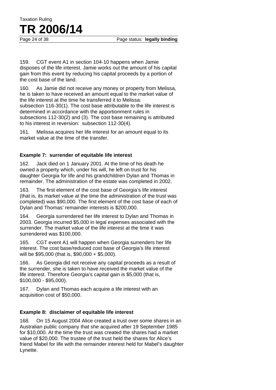Page 24 of 38 Page status: **legally binding** 

159. CGT event A1 in section 104-10 happens when Jamie disposes of the life interest. Jamie works out the amount of his capital gain from this event by reducing his capital proceeds by a portion of the cost base of the land.

160. As Jamie did not receive any money or property from Melissa, he is taken to have received an amount equal to the market value of the life interest at the time he transferred it to Melissa: subsection 116-30(1). The cost base attributable to the life interest is determined in accordance with the apportionment rules in subsections 112-30(2) and (3). The cost base remaining is attributed to his interest in reversion: subsection 112-30(4).

161. Melissa acquires her life interest for an amount equal to its market value at the time of the transfer.

#### **Example 7: surrender of equitable life interest**

162. Jack died on 1 January 2001. At the time of his death he owned a property which, under his will, he left on trust for his daughter Georgia for life and his grandchildren Dylan and Thomas in remainder. The administration of the estate was completed in 2002.

163. The first element of the cost base of Georgia's life interest (that is, its market value at the time the administration of the trust was completed) was \$90,000. The first element of the cost base of each of Dylan and Thomas' remainder interests is \$200,000.

164. Georgia surrendered her life interest to Dylan and Thomas in 2003. Georgia incurred \$5,000 in legal expenses associated with the surrender. The market value of the life interest at the time it was surrendered was \$100,000.

165. CGT event A1 will happen when Georgia surrenders her life interest. The cost base/reduced cost base of Georgia's life interest will be \$95,000 (that is, \$90,000 + \$5,000).

166. As Georgia did not receive any capital proceeds as a result of the surrender, she is taken to have received the market value of the life interest. Therefore Georgia's capital gain is \$5,000 (that is, \$100,000 - \$95,000).

167. Dylan and Thomas each acquire a life interest with an acquisition cost of \$50,000.

#### **Example 8: disclaimer of equitable life interest**

168. On 15 August 2004 Alice created a trust over some shares in an Australian public company that she acquired after 19 September 1985 for \$10,000. At the time the trust was created the shares had a market value of \$20,000. The trustee of the trust held the shares for Alice's friend Mabel for life with the remainder interest held for Mabel's daughter Lynette.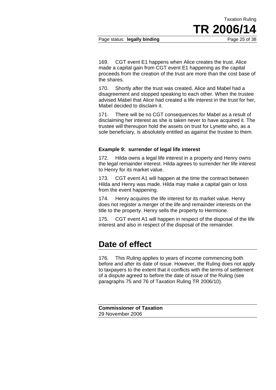#### Page status: **legally binding** Page 25 of 38

169. CGT event E1 happens when Alice creates the trust. Alice made a capital gain from CGT event E1 happening as the capital proceeds from the creation of the trust are more than the cost base of the shares.

170. Shortly after the trust was created, Alice and Mabel had a disagreement and stopped speaking to each other. When the trustee advised Mabel that Alice had created a life interest in the trust for her, Mabel decided to disclaim it.

171. There will be no CGT consequences for Mabel as a result of disclaiming her interest as she is taken never to have acquired it. The trustee will thereupon hold the assets on trust for Lynette who, as a sole beneficiary, is absolutely entitled as against the trustee to them.

#### **Example 9: surrender of legal life interest**

172. Hilda owns a legal life interest in a property and Henry owns the legal remainder interest. Hilda agrees to surrender her life interest to Henry for its market value.

173. CGT event A1 will happen at the time the contract between Hilda and Henry was made. Hilda may make a capital gain or loss from the event happening.

174. Henry acquires the life interest for its market value. Henry does not register a merger of the life and remainder interests on the title to the property. Henry sells the property to Hermione.

175. CGT event A1 will happen in respect of the disposal of the life interest and also in respect of the disposal of the remainder.

### **Date of effect**

176. This Ruling applies to years of income commencing both before and after its date of issue. However, the Ruling does not apply to taxpayers to the extent that it conflicts with the terms of settlement of a dispute agreed to before the date of issue of the Ruling (see paragraphs 75 and 76 of Taxation Ruling TR 2006/10).

**Commissioner of Taxation**  29 November 2006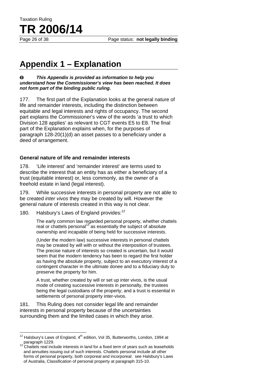Page 26 of 38 Page status: **not legally binding** 

# **Appendix 1 – Explanation**

Taxation Ruling

**TR 2006/14**

#### $\bf{0}$ *This Appendix is provided as information to help you understand how the Commissioner's view has been reached. It does not form part of the binding public ruling.*

177. The first part of the Explanation looks at the general nature of life and remainder interests, including the distinction between equitable and legal interests and rights of occupancy. The second part explains the Commissioner's view of the words 'a trust to which Division 128 applies' as relevant to CGT events E5 to E8. The final part of the Explanation explains when, for the purposes of paragraph 128-20(1)(d) an asset passes to a beneficiary under a deed of arrangement.

#### **General nature of life and remainder interests**

178. 'Life interest' and 'remainder interest' are terms used to describe the interest that an entity has as either a beneficiary of a trust (equitable interest) or, less commonly, as the owner of a freehold estate in land (legal interest).

179. While successive interests in personal property are not able to be created *inter vivos* they may be created by will. However the general nature of interests created in this way is not clear.

180. Halsbury's Laws of England provides:<sup>12</sup>

The early common law regarded personal property, whether chattels real or chattels personal<sup>13</sup> as essentially the subject of absolute ownership and incapable of being held for successive interests.

(Under the modern law) successive interests in personal chattels may be created by will with or without the interposition of trustees. The precise nature of interests so created is uncertain, but it would seem that the modern tendency has been to regard the first holder as having the absolute property, subject to an executory interest of a contingent character in the ultimate donee and to a fiduciary duty to preserve the property for him.

A trust, whether created by will or set up inter vivos, is the usual mode of creating successive interests in personalty, the trustees being the legal custodians of the property; and a trust is essential in settlements of personal property inter-vivos.

181. This Ruling does not consider legal life and remainder interests in personal property because of the uncertainties surrounding them and the limited cases in which they arise.

 $12$ Halsbury's Laws of England, 4<sup>th</sup> edition, Vol 35, Butterworths, London, 1994 at paragraph 1229.

<sup>&</sup>lt;sup>13</sup> Chattels real include interests in land for a fixed term of years such as leaseholds and annuities issuing out of such interests. Chattels personal include all other forms of personal property, both corporeal and incorporeal: see Halsbury's Laws of Australia, Classification of personal property at paragraph 315-10.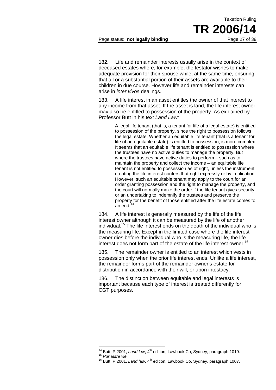Page status: **not legally binding** Page 27 of 38

182. Life and remainder interests usually arise in the context of deceased estates where, for example, the testator wishes to make adequate provision for their spouse while, at the same time, ensuring that all or a substantial portion of their assets are available to their children in due course. However life and remainder interests can arise in *inter vivos* dealings.

183. A life interest in an asset entitles the owner of that interest to any income from that asset. If the asset is land, the life interest owner may also be entitled to possession of the property. As explained by Professor Butt in his text *Land Law:*

> A legal life tenant (that is, a tenant for life of a legal estate) is entitled to possession of the property, since the right to possession follows the legal estate. Whether an equitable life tenant (that is a tenant for life of an equitable estate) is entitled to possession, is more complex. It seems that an equitable life tenant is entitled to possession where the trustees have no active duties to manage the property. But where the trustees have active duties to perform – such as to maintain the property and collect the income – an equitable life tenant is not entitled to possession as of right, unless the instrument creating the life interest confers that right expressly or by implication. However, such an equitable tenant may apply to the court for an order granting possession and the right to manage the property, and the court will normally make the order if the life tenant gives security or an undertaking to indemnify the trustees and preserve the property for the benefit of those entitled after the life estate comes to an end. $1$

184. A life interest is generally measured by the life of the life interest owner although it can be measured by the life of another individual.15 The life interest ends on the death of the individual who is the measuring life. Except in the limited case where the life interest owner dies before the individual who is the measuring life, the life interest does not form part of the estate of the life interest owner.<sup>16</sup>

185. The remainder owner is entitled to an interest which vests in possession only when the prior life interest ends. Unlike a life interest, the remainder forms part of the remainder owner's estate for distribution in accordance with their will, or upon intestacy.

186. The distinction between equitable and legal interests is important because each type of interest is treated differently for CGT purposes.

TR 2006/

Taxation Ruling

<sup>&</sup>lt;sup>14</sup> Butt. P 2001, Land law, 4<sup>th</sup> edition, Lawbook Co, Sydney, paragraph 1019.

<sup>14</sup> Butt, P 2001, *Land law*, 4th edition, Lawbook Co, Sydney, paragraph 1019. 15 *Pur autre vie*. 16 Butt, P 2001, *Land law*, 4th edition, Lawbook Co, Sydney, paragraph 1007.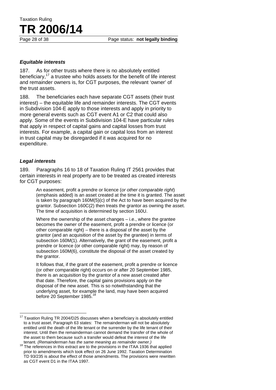#### *Equitable interests*

187. As for other trusts where there is no absolutely entitled beneficiary,17 a trustee who holds assets for the benefit of life interest and remainder owners is, for CGT purposes, the relevant 'owner' of the trust assets.

188. The beneficiaries each have separate CGT assets (their trust interest) – the equitable life and remainder interests. The CGT events in Subdivision 104-E apply to those interests and apply in priority to more general events such as CGT event A1 or C2 that could also apply. Some of the events in Subdivision 104-E have particular rules that apply in respect of capital gains and capital losses from trust interests. For example, a capital gain or capital loss from an interest in trust capital may be disregarded if it was acquired for no expenditure.

#### *Legal interests*

189. Paragraphs 16 to 18 of Taxation Ruling IT 2561 provides that certain interests in real property are to be treated as created interests for CGT purposes:

> An easement, profit a prendre or licence (*or other comparable right*) (emphasis added) is an asset created at the time it is granted. The asset is taken by paragraph 160M(5)(c) of the Act to have been acquired by the grantor. Subsection 160C(2) then treats the grantor as owning the asset. The time of acquisition is determined by section 160U.

Where the ownership of the asset changes – i.e., where the grantee becomes the owner of the easement, profit a prendre or licence (or other comparable right) – there is a disposal of the asset by the grantor (and an acquisition of the asset by the grantee) in terms of subsection 160M(1). Alternatively, the grant of the easement, profit a prendre or licence (or other comparable right) may, by reason of subsection 160M(6), constitute the disposal of the asset created by the grantor.

It follows that, if the grant of the easement, profit a prendre or licence (or other comparable right) occurs on or after 20 September 1985, there is an acquisition by the grantor of a new asset created after that date. Therefore, the capital gains provisions apply on the disposal of the new asset. This is so notwithstanding that the underlying asset, for example the land, may have been acquired before 20 September 1985.<sup>18</sup>

 $17$ 17 Taxation Ruling TR 2004/D25 discusses when a beneficiary is absolutely entitled to a trust asset. Paragraph 63 states: The remainderman will not be absolutely entitled until the death of the life tenant or the surrender by the life tenant of their interest. Until then the remainderman cannot demand the transfer of the whole of the asset to them because such a transfer would defeat the interest of the life

tenant. *(Remainderman has the same meaning as remainder owner.)*<br>The references in this extract are to the provisions in the ITAA 1936 that applied prior to amendments which took effect on 26 June 1992. Taxation Determination TD 93/235 is about the effect of those amendments. The provisions were rewritten as CGT event D1 in the ITAA 1997.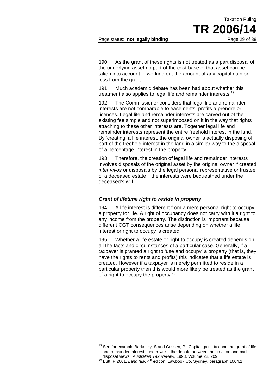Page status: **not legally binding** Page 29 of 38

TR 2006/

Taxation Ruling

190. As the grant of these rights is not treated as a part disposal of the underlying asset no part of the cost base of that asset can be taken into account in working out the amount of any capital gain or loss from the grant.

191. Much academic debate has been had about whether this treatment also applies to legal life and remainder interests.<sup>19</sup>

192. The Commissioner considers that legal life and remainder interests are not comparable to easements, profits a prendre or licences. Legal life and remainder interests are carved out of the existing fee simple and not superimposed on it in the way that rights attaching to these other interests are. Together legal life and remainder interests represent the entire freehold interest in the land. By 'creating' a life interest, the original owner is actually disposing of part of the freehold interest in the land in a similar way to the disposal of a percentage interest in the property.

193. Therefore, the creation of legal life and remainder interests involves disposals of the original asset by the original owner if created *inter vivos* or disposals by the legal personal representative or trustee of a deceased estate if the interests were bequeathed under the deceased's will.

#### *Grant of lifetime right to reside in property*

194. A life interest is different from a mere personal right to occupy a property for life. A right of occupancy does not carry with it a right to any income from the property. The distinction is important because different CGT consequences arise depending on whether a life interest or right to occupy is created.

195. Whether a life estate or right to occupy is created depends on all the facts and circumstances of a particular case. Generally, if a taxpayer is granted a right to 'use and occupy' a property (that is, they have the rights to rents and profits) this indicates that a life estate is created. However if a taxpayer is merely permitted to reside in a particular property then this would more likely be treated as the grant of a right to occupy the property. $^{20}$ 

 $\overline{a}$  $19$  See for example Barkoczy, S and Cussen, P, 'Capital gains tax and the grant of life and remainder interests under wills: the debate between the creation and part disposal views', *Australian Tax Review*, 1993, Volume 22, 209.<br><sup>20</sup> Butt, P 2001, *Land law*, 4<sup>th</sup> edition, Lawbook Co, Sydney, paragraph 1004.1.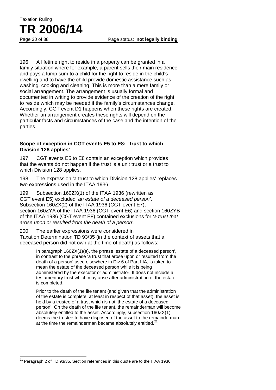$\overline{a}$ 

196. A lifetime right to reside in a property can be granted in a family situation where for example, a parent sells their main residence and pays a lump sum to a child for the right to reside in the child's dwelling and to have the child provide domestic assistance such as washing, cooking and cleaning. This is more than a mere family or social arrangement. The arrangement is usually formal and documented in writing to provide evidence of the creation of the right to reside which may be needed if the family's circumstances change. Accordingly, CGT event D1 happens when these rights are created. Whether an arrangement creates these rights will depend on the particular facts and circumstances of the case and the intention of the parties.

#### **Scope of exception in CGT events E5 to E8: 'trust to which Division 128 applies'**

197. CGT events E5 to E8 contain an exception which provides that the events do not happen if the trust is a unit trust or a trust to which Division 128 applies.

198. The expression 'a trust to which Division 128 applies' replaces two expressions used in the ITAA 1936.

199. Subsection 160ZX(1) of the ITAA 1936 (rewritten as CGT event E5) excluded *'an estate of a deceased person'*. Subsection 160ZX(2) of the ITAA 1936 (CGT event E7), section 160ZYA of the ITAA 1936 (CGT event E6) and section 160ZYB of the ITAA 1936 (CGT event E8) contained exclusions for *'a trust that arose upon or resulted from the death of a person'*.

200. The earlier expressions were considered in Taxation Determination TD 93/35 (in the context of assets that a deceased person did not own at the time of death) as follows:

> In paragraph 160ZX(1)(a), the phrase 'estate of a deceased person', in contrast to the phrase 'a trust that arose upon or resulted from the death of a person' used elsewhere in Div 6 of Part IIIA, is taken to mean the estate of the deceased person while it is being administered by the executor or administrator. It does not include a testamentary trust which may arise after administration of the estate is completed.

Prior to the death of the life tenant (and given that the administration of the estate is complete, at least in respect of that asset), the asset is held by a trustee of a trust which is not 'the estate of a deceased person'. On the death of the life tenant, the remainderman will become absolutely entitled to the asset. Accordingly, subsection 160ZX(1) deems the trustee to have disposed of the asset to the remainderman at the time the remainderman became absolutely entitled. $21$ 

 $21$  Paragraph 2 of TD 93/35. Section references in this quote are to the ITAA 1936.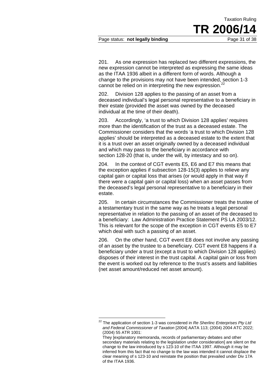#### Page status: **not legally binding** Page 31 of 38

201. As one expression has replaced two different expressions, the new expression cannot be interpreted as expressing the same ideas as the ITAA 1936 albeit in a different form of words. Although a change to the provisions may not have been intended, section 1-3 cannot be relied on in interpreting the new expression. $^{22}$ 

202. Division 128 applies to the passing of an asset from a deceased individual's legal personal representative to a beneficiary in their estate (provided the asset was owned by the deceased individual at the time of their death).

203. Accordingly, 'a trust to which Division 128 applies' requires more than the identification of the trust as a deceased estate. The Commissioner considers that the words 'a trust to which Division 128 applies' should be interpreted as a deceased estate to the extent that it is a trust over an asset originally owned by a deceased individual and which may pass to the beneficiary in accordance with section 128-20 (that is, under the will, by intestacy and so on).

204. In the context of CGT events E5, E6 and E7 this means that the exception applies if subsection 128-15(3) applies to relieve any capital gain or capital loss that arises (or would apply in that way if there were a capital gain or capital loss) when an asset passes from the deceased's legal personal representative to a beneficiary in their estate.

205. In certain circumstances the Commissioner treats the trustee of a testamentary trust in the same way as he treats a legal personal representative in relation to the passing of an asset of the deceased to a beneficiary: Law Administration Practice Statement PS LA 2003/12. This is relevant for the scope of the exception in CGT events E5 to E7 which deal with such a passing of an asset.

206. On the other hand, CGT event E8 does not involve any passing of an asset by the trustee to a beneficiary. CGT event E8 happens if a beneficiary under a trust (except a trust to which Division 128 applies) disposes of their interest in the trust capital. A capital gain or loss from the event is worked out by reference to the trust's assets and liabilities (net asset amount/reduced net asset amount).

 $\overline{a}$ 

<sup>22</sup> The application of section 1-3 was considered in *Re Sherlinc Enterprises Pty Ltd and Federal Commissioner of Taxation* [2004] AATA 113; (2004) 2004 ATC 2022; (2004) 55 ATR 1001:

They [explanatory memoranda, records of parliamentary debates and other secondary materials relating to the legislation under consideration] are silent on the change to the law introduced by s 123-10 of the ITAA 1997. Although it may be inferred from this fact that no change to the law was intended it cannot displace the clear meaning of s 123-10 and reinstate the position that prevailed under Div 17A of the ITAA 1936.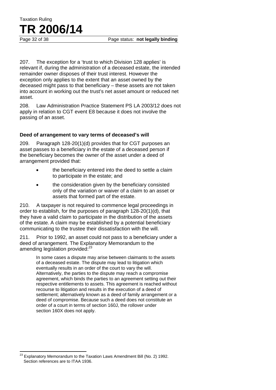207. The exception for a 'trust to which Division 128 applies' is relevant if, during the administration of a deceased estate, the intended remainder owner disposes of their trust interest. However the exception only applies to the extent that an asset owned by the deceased might pass to that beneficiary – these assets are not taken into account in working out the trust's net asset amount or reduced net asset.

208. Law Administration Practice Statement PS LA 2003/12 does not apply in relation to CGT event E8 because it does not involve the passing of an asset.

#### **Deed of arrangement to vary terms of deceased's will**

209. Paragraph 128-20(1)(d) provides that for CGT purposes an asset passes to a beneficiary in the estate of a deceased person if the beneficiary becomes the owner of the asset under a deed of arrangement provided that:

- the beneficiary entered into the deed to settle a claim to participate in the estate; and
- the consideration given by the beneficiary consisted only of the variation or waiver of a claim to an asset or assets that formed part of the estate.

210. A taxpayer is not required to commence legal proceedings in order to establish, for the purposes of paragraph 128-20(1)(d), that they have a valid claim to participate in the distribution of the assets of the estate. A claim may be established by a potential beneficiary communicating to the trustee their dissatisfaction with the will.

211. Prior to 1992, an asset could not pass to a beneficiary under a deed of arrangement. The Explanatory Memorandum to the amending legislation provided:<sup>23</sup>

> In some cases a dispute may arise between claimants to the assets of a deceased estate. The dispute may lead to litigation which eventually results in an order of the court to vary the will. Alternatively, the parties to the dispute may reach a compromise agreement, which binds the parties to an agreement setting out their respective entitlements to assets. This agreement is reached without recourse to litigation and results in the execution of a deed of settlement; alternatively known as a deed of family arrangement or a deed of compromise. Because such a deed does not constitute an order of a court in terms of section 160J, the rollover under section 160X does not apply.

 $\overline{a}$ Explanatory Memorandum to the Taxation Laws Amendment Bill (No. 2) 1992. Section references are to ITAA 1936.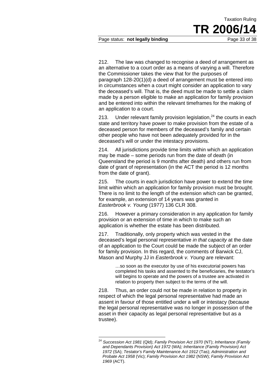#### Page status: **not legally binding** Page 33 of 38

212. The law was changed to recognise a deed of arrangement as an alternative to a court order as a means of varying a will. Therefore the Commissioner takes the view that for the purposes of paragraph 128-20(1)(d) a deed of arrangement must be entered into in circumstances when a court might consider an application to vary the deceased's will. That is, the deed must be made to settle a claim made by a person eligible to make an application for family provision and be entered into within the relevant timeframes for the making of an application to a court.

213. Under relevant family provision legislation, $^{24}$  the courts in each state and territory have power to make provision from the estate of a deceased person for members of the deceased's family and certain other people who have not been adequately provided for in the deceased's will or under the intestacy provisions.

214. All jurisdictions provide time limits within which an application may be made – some periods run from the date of death (in Queensland the period is 9 months after death) and others run from date of grant of representation (in the ACT the period is 12 months from the date of grant).

215. The courts in each jurisdiction have power to extend the time limit within which an application for family provision must be brought. There is no limit to the length of the extension which can be granted, for example, an extension of 14 years was granted in *Easterbrook v. Young* (1977) 136 CLR 308.

216. However a primary consideration in any application for family provision or an extension of time in which to make such an application is whether the estate has been distributed.

217. Traditionally, only property which was vested in the deceased's legal personal representative *in that capacity* at the date of an application to the Court could be made the subject of an order for family provision. In this regard, the comments of Barwick CJ, Mason and Murphy JJ in *Easterbrook v. Young* are relevant:

> …so soon as the executor by use of his executorial powers has completed his tasks and assented to the beneficiaries, the testator's will begins to operate and the powers of a trustee are activated in relation to property then subject to the terms of the will.

218. Thus, an order could not be made in relation to property in respect of which the legal personal representative had made an assent in favour of those entitled under a will or intestacy (because the legal personal representative was no longer in possession of the asset in their capacity as legal personal representative but as a trustee).

 $\overline{a}$ 

<sup>24</sup> *Succession Act 1981* (Qld); *Family Provision Act 1970* (NT); *Inheritance (Family and Dependants Provision) Act 1972* (WA*); Inheritance (Family Provision) Act 1972* (SA); *Testator's Family Maintenance Act 1912* (Tas); *Administration and Probate Act 1958* (Vic); *Family Provision Act 1982* (NSW); *Family Provision Act 1969* (ACT).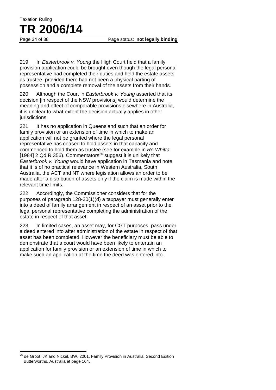Page 34 of 38 Page status: **not legally binding** 

219. In *Easterbrook v. Young* the High Court held that a family provision application could be brought even though the legal personal representative had completed their duties and held the estate assets as trustee, provided there had not been a physical parting of possession and a complete removal of the assets from their hands.

220. Although the Court in *Easterbrook v. Young* asserted that its decision [in respect of the NSW provisions] would determine the meaning and effect of comparable provisions elsewhere in Australia, it is unclear to what extent the decision actually applies in other jurisdictions.

221. It has no application in Queensland such that an order for family provision or an extension of time in which to make an application will not be granted where the legal personal representative has ceased to hold assets in that capacity and commenced to hold them as trustee (see for example in *Re Whitta*  [1984] 2 Qd R 356). Commentators<sup>25</sup> suggest it is unlikely that *Easterbrook v. Young* would have application in Tasmania and note that it is of no practical relevance in Western Australia, South Australia, the ACT and NT where legislation allows an order to be made after a distribution of assets only if the claim is made within the relevant time limits.

222. Accordingly, the Commissioner considers that for the purposes of paragraph 128-20(1)(d) a taxpayer must generally enter into a deed of family arrangement in respect of an asset prior to the legal personal representative completing the administration of the estate in respect of that asset.

223. In limited cases, an asset may, for CGT purposes, pass under a deed entered into after administration of the estate in respect of that asset has been completed. However the beneficiary must be able to demonstrate that a court would have been likely to entertain an application for family provision or an extension of time in which to make such an application at the time the deed was entered into.

 $\overline{a}$ 25 de Groot, JK and Nickel, BW, 2001, Family Provision in Australia, Second Edition Butterworths, Australia at page 164.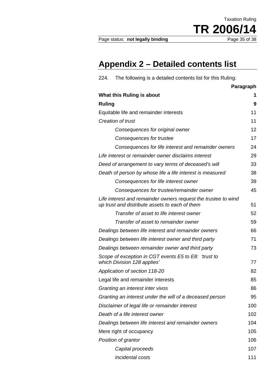Page status: not legally binding

TR 2006/14

Taxation Ruling

# **Appendix 2 – Detailed contents list**

| 224.                                   | The following is a detailed contents list for this Ruling:                                                       |           |  |
|----------------------------------------|------------------------------------------------------------------------------------------------------------------|-----------|--|
|                                        |                                                                                                                  | Paragraph |  |
|                                        | What this Ruling is about                                                                                        | 1         |  |
| <b>Ruling</b>                          |                                                                                                                  | 9         |  |
| Equitable life and remainder interests |                                                                                                                  | 11        |  |
|                                        | Creation of trust                                                                                                | 11        |  |
|                                        | Consequences for original owner                                                                                  | 12        |  |
|                                        | Consequences for trustee                                                                                         | 17        |  |
|                                        | Consequences for life interest and remainder owners                                                              | 24        |  |
|                                        | Life interest or remainder owner disclaims interest                                                              | 29        |  |
|                                        | Deed of arrangement to vary terms of deceased's will                                                             | 33        |  |
|                                        | Death of person by whose life a life interest is measured                                                        | 38        |  |
|                                        | Consequences for life interest owner                                                                             | 39        |  |
|                                        | Consequences for trustee/remainder owner                                                                         | 45        |  |
|                                        | Life interest and remainder owners request the trustee to wind<br>up trust and distribute assets to each of them | 51        |  |
|                                        | Transfer of asset to life interest owner                                                                         | 52        |  |
|                                        | Transfer of asset to remainder owner                                                                             | 59        |  |
|                                        | Dealings between life interest and remainder owners                                                              | 66        |  |
|                                        | Dealings between life interest owner and third party                                                             | 71        |  |
|                                        | Dealings between remainder owner and third party                                                                 | 73        |  |
|                                        | Scope of exception in CGT events E5 to E8: 'trust to<br>which Division 128 applies'                              | 77        |  |
|                                        | Application of section 118-20                                                                                    | 82        |  |
|                                        | Legal life and remainder interests                                                                               | 85        |  |
|                                        | Granting an interest inter vivos                                                                                 | 86        |  |
|                                        | Granting an interest under the will of a deceased person                                                         | 95        |  |
|                                        | Disclaimer of legal life or remainder interest                                                                   | 100       |  |
|                                        | Death of a life interest owner                                                                                   | 102       |  |
|                                        | Dealings between life interest and remainder owners                                                              | 104       |  |
|                                        | Mere right of occupancy                                                                                          | 105       |  |
|                                        | Position of grantor                                                                                              | 106       |  |
|                                        | Capital proceeds                                                                                                 | 107       |  |
|                                        | Incidental costs                                                                                                 | 111       |  |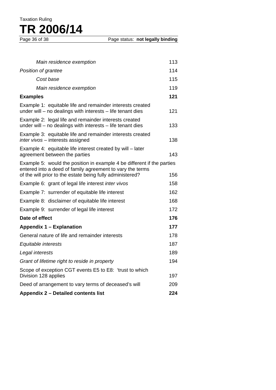| Main residence exemption                                                                                                            | 113 |
|-------------------------------------------------------------------------------------------------------------------------------------|-----|
| Position of grantee                                                                                                                 | 114 |
| Cost base                                                                                                                           | 115 |
| Main residence exemption                                                                                                            | 119 |
| <b>Examples</b>                                                                                                                     | 121 |
| Example 1: equitable life and remainder interests created<br>under will – no dealings with interests – life tenant dies             | 121 |
| Example 2: legal life and remainder interests created<br>under will - no dealings with interests - life tenant dies                 | 133 |
| Example 3: equitable life and remainder interests created<br>inter vivos - interests assigned                                       | 138 |
| Example 4: equitable life interest created by will - later<br>agreement between the parties                                         | 143 |
| Example 5: would the position in example 4 be different if the parties<br>entered into a deed of family agreement to vary the terms |     |
| of the will prior to the estate being fully administered?                                                                           | 156 |
| Example 6: grant of legal life interest inter vivos                                                                                 | 158 |
| Example 7: surrender of equitable life interest                                                                                     | 162 |
| Example 8: disclaimer of equitable life interest                                                                                    | 168 |
| Example 9: surrender of legal life interest                                                                                         | 172 |
| Date of effect                                                                                                                      | 176 |
| <b>Appendix 1 - Explanation</b>                                                                                                     | 177 |
| General nature of life and remainder interests                                                                                      | 178 |
| Equitable interests                                                                                                                 | 187 |
| Legal interests                                                                                                                     | 189 |
| Grant of lifetime right to reside in property                                                                                       | 194 |
| Scope of exception CGT events E5 to E8: 'trust to which<br>Division 128 applies                                                     | 197 |
| Deed of arrangement to vary terms of deceased's will                                                                                | 209 |
| Appendix 2 - Detailed contents list                                                                                                 | 224 |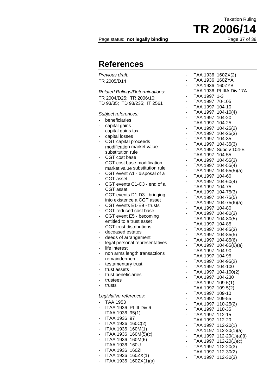#### Page status: **not legally binding** Page 37 of 38

**TR 2006/14**

Taxation Ruling

### **References**

*Previous draft:*  TR 2005/D14 *Related Rulings/Determinations:*  TR 2004/D25; TR 2006/10; TD 93/35; TD 93/235; IT 2561 *Subject references:*  - beneficiaries capital gains - capital gains tax - capital losses - CGT capital proceeds modification market value substitution rule - CGT cost base - CGT cost base modification market value substitution rule CGT event A1 - disposal of a CGT asset - CGT events C1-C3 - end of a CGT asset CGT events D1-D3 - bringing into existence a CGT asset CGT events E1-E9 - trusts - CGT reduced cost base - CGT event E5 - becoming entitled to a trust asset - CGT trust distributions - deceased estates - deeds of arrangement - legal personal representatives - life interest - non arms length transactions - remaindermen testamentary trust trust assets trust beneficiaries - trustees trusts *Legislative references:*  - TAA 1953 - ITAA 1936 Pt III Div 6 - ITAA 1936 95(1) - ITAA 1936 97 - ITAA 1936 160C(2) - ITAA 1936 160M(1) - ITAA 1936 160M(5)(c) - ITAA 1936 160M(6) - ITAA 1936 160U - ITAA 1936 160ZI

- ITAA 1936 160ZX(1)
- ITAA 1936 160ZX(1)(a)

| ۰                        | ITAA 1936 160ZX(2)                         |                           |
|--------------------------|--------------------------------------------|---------------------------|
| н.                       | ITAA 1936 160ZYA                           |                           |
| ۳                        | ITAA 1936 160ZYB                           |                           |
| -                        |                                            | ITAA 1936 Pt IIIA Div 17A |
| $\overline{\phantom{a}}$ | ITAA 1997 1-3                              |                           |
| -                        |                                            |                           |
| ۳                        | ITAA 1997 70-105<br>ITAA 1997 104-10       |                           |
| -                        | ITAA 1997 104-10(4)                        |                           |
| Ξ,                       | ITAA 1997 104-20                           |                           |
| ۳,                       | ITAA 1997 104-25                           |                           |
| $\overline{\phantom{a}}$ | ITAA 1997 104-25(2)                        |                           |
| $\overline{\phantom{a}}$ | ITAA 1997 104-25(3)                        |                           |
| $\overline{\phantom{a}}$ | ITAA 1997 104-35                           |                           |
| $\overline{\phantom{a}}$ | ITAA 1997 104-35(3)                        |                           |
| $\ddot{\phantom{0}}$     |                                            | ITAA 1997 Subdiv 104-E    |
| $\overline{\phantom{a}}$ | ITAA 1997 104-55                           |                           |
| $\overline{\phantom{a}}$ | ITAA 1997 104-55(3)                        |                           |
| $\overline{\phantom{a}}$ | ITAA 1997 104-55(4)                        |                           |
| ۳                        |                                            | ITAA 1997 104-55(5)(a)    |
| -                        | <b>ITAA 1997</b>                           | 104-60                    |
| 1                        | ITAA 1997 104-60(4)                        |                           |
| $\overline{\phantom{a}}$ | ITAA 1997 104-75                           |                           |
| $\overline{\phantom{a}}$ | ITAA 1997 104-75(3)                        |                           |
| -                        | ITAA 1997 104-75(5)                        |                           |
| Ξ.                       |                                            | ITAA 1997 104-75(6)(a)    |
| -                        | ITAA 1997 104-80                           |                           |
| -                        | ITAA 1997 104-80(3)                        |                           |
| $\overline{\phantom{a}}$ | ITAA 1997 104-80(5)                        |                           |
| $\overline{\phantom{a}}$ | ITAA 1997 104-85                           |                           |
| -                        | ITAA 1997 104-85(3)                        |                           |
| -                        | ITAA 1997 104-85(5)<br>ITAA 1997 104-85(6) |                           |
| ۳.                       |                                            | ITAA 1997 104-85(6)(a)    |
| Ξ,                       | ITAA 1997 104-90                           |                           |
| $\overline{\phantom{a}}$ | ITAA 1997 104-95                           |                           |
| -<br>-                   | ITAA 1997 104-95(2)                        |                           |
| -                        | ITAA 1997 104-100                          |                           |
| -                        |                                            | ITAA 1997 104-100(2)      |
| -                        | <b>ITAA 1997</b>                           | 104-230                   |
|                          | <b>ITAA 1997</b>                           | $109 - 5(1)$              |
|                          | <b>ITAA 1997</b>                           | $109-5(2)$                |
| $\overline{a}$           | ITAA 1997                                  | 109-10                    |
| -                        | <b>ITAA 1997</b>                           | 109-55                    |
|                          | <b>ITAA 1997</b>                           | $110-25(2)$               |
| $\overline{\phantom{a}}$ | <b>ITAA 1997</b>                           | 110-35                    |
|                          | <b>ITAA 1997</b>                           | 112-15                    |
|                          | <b>ITAA 1997</b>                           | 112-20                    |
| $\frac{1}{1}$            | ITAA 1997                                  | $112 - 20(1)$             |
|                          | ITAA 1197                                  | $112-20(1)(a)$            |
|                          | ITAA 1997                                  | 112-20(1)(a)(i)           |
| $\frac{1}{1}$            | ITAA 1997                                  | $112 - 20(1)(c)$          |
| -                        | ITAA 1997                                  | $112 - 20(3)$             |
| -                        | ITAA 1997                                  | $112-30(2)$               |
| -                        | ITAA 1997                                  | 112-30(3)                 |